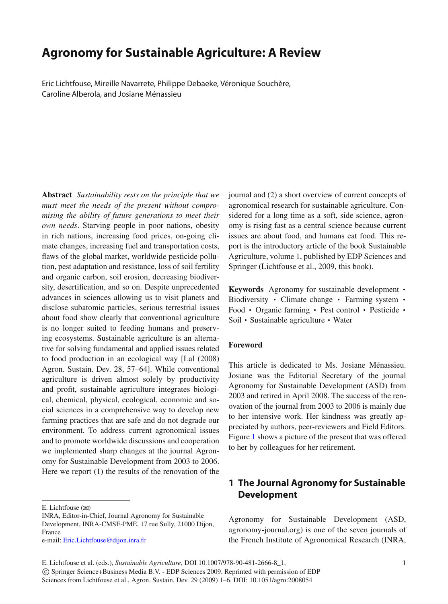# **Agronomy for Sustainable Agriculture: A Review**

Eric Lichtfouse, Mireille Navarrete, Philippe Debaeke, Véronique Souchère, Caroline Alberola, and Josiane Ménassieu

Abstract *Sustainability rests on the principle that we must meet the needs of the present without compromising the ability of future generations to meet their own needs*. Starving people in poor nations, obesity in rich nations, increasing food prices, on-going climate changes, increasing fuel and transportation costs, flaws of the global market, worldwide pesticide pollution, pest adaptation and resistance, loss of soil fertility and organic carbon, soil erosion, decreasing biodiversity, desertification, and so on. Despite unprecedented advances in sciences allowing us to visit planets and disclose subatomic particles, serious terrestrial issues about food show clearly that conventional agriculture is no longer suited to feeding humans and preserving ecosystems. Sustainable agriculture is an alternative for solving fundamental and applied issues related to food production in an ecological way [\[Lal](#page-6-0) [\(2008\)](#page-6-0) Agron. Sustain. Dev. 28, 57–64]. While conventional agriculture is driven almost solely by productivity and profit, sustainable agriculture integrates biological, chemical, physical, ecological, economic and social sciences in a comprehensive way to develop new farming practices that are safe and do not degrade our environment. To address current agronomical issues and to promote worldwide discussions and cooperation we implemented sharp changes at the journal Agronomy for Sustainable Development from 2003 to 2006. Here we report (1) the results of the renovation of the

E. Lichtfouse (⊠)

journal and (2) a short overview of current concepts of agronomical research for sustainable agriculture. Considered for a long time as a soft, side science, agronomy is rising fast as a central science because current issues are about food, and humans eat food. This report is the introductory article of the book Sustainable Agriculture, volume 1, published by EDP Sciences and Springer (Lichtfouse et al., 2009, this book).

Keywords Agronomy for sustainable development - Biodiversity • Climate change • Farming system • Food · Organic farming · Pest control · Pesticide · Soil - Sustainable agriculture - Water

#### Foreword

This article is dedicated to Ms. Josiane Ménassieu. Josiane was the Editorial Secretary of the journal Agronomy for Sustainable Development (ASD) from 2003 and retired in April 2008. The success of the renovation of the journal from 2003 to 2006 is mainly due to her intensive work. Her kindness was greatly appreciated by authors, peer-reviewers and Field Editors. Figure [1](#page-1-0) shows a picture of the present that was offered to her by colleagues for her retirement.

# **1 The Journal Agronomy for Sustainable Development**

Agronomy for Sustainable Development (ASD, agronomy-journal.org) is one of the seven journals of the French Institute of Agronomical Research (INRA,

-c Springer Science+Business Media B.V. - EDP Sciences 2009. Reprinted with permission of EDP

Sciences from Lichtfouse et al., Agron. Sustain. Dev. 29 (2009) 1–6. DOI: 10.1051/agro:2008054

INRA, Editor-in-Chief, Journal Agronomy for Sustainable Development, INRA-CMSE-PME, 17 rue Sully, 21000 Dijon, France e-mail: <Eric.Lichtfouse@dijon.inra.fr>

E. Lichtfouse et al. (eds.), *Sustainable Agriculture*, DOI 10.1007/978-90-481-2666-8\_1, 1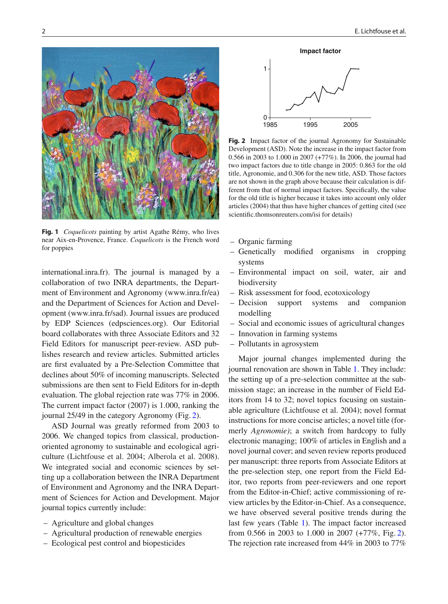

**Fig. 1** *Coquelicots* painting by artist Agathe Rémy, who lives near Aix-en-Provence, France. *Coquelicots* is the French word for poppies

<span id="page-1-0"></span>international.inra.fr). The journal is managed by a collaboration of two INRA departments, the Department of Environment and Agronomy (www.inra.fr/ea) and the Department of Sciences for Action and Development (www.inra.fr/sad). Journal issues are produced by EDP Sciences (edpsciences.org). Our Editorial board collaborates with three Associate Editors and 32 Field Editors for manuscript peer-review. ASD publishes research and review articles. Submitted articles are first evaluated by a Pre-Selection Committee that declines about 50% of incoming manuscripts. Selected submissions are then sent to Field Editors for in-depth evaluation. The global rejection rate was 77% in 2006. The current impact factor (2007) is 1.000, ranking the journal 25/49 in the category Agronomy (Fig. [2\)](#page-1-1).

ASD Journal was greatly reformed from 2003 to 2006. We changed topics from classical, productionoriented agronomy to sustainable and ecological agriculture [\(Lichtfouse et al. 2004;](#page-6-1) [Alberola et al. 2008](#page-5-0)). We integrated social and economic sciences by setting up a collaboration between the INRA Department of Environment and Agronomy and the INRA Department of Sciences for Action and Development. Major journal topics currently include:

- Agriculture and global changes
- Agricultural production of renewable energies
- Ecological pest control and biopesticides



<span id="page-1-1"></span>**Fig. 2** Impact factor of the journal Agronomy for Sustainable Development (ASD). Note the increase in the impact factor from 0.566 in 2003 to 1.000 in 2007 (+77%). In 2006, the journal had two impact factors due to title change in 2005: 0.863 for the old title, Agronomie, and 0.306 for the new title, ASD. Those factors are not shown in the graph above because their calculation is different from that of normal impact factors. Specifically, the value for the old title is higher because it takes into account only older articles (2004) that thus have higher chances of getting cited (see scientific.thomsonreuters.com/isi for details)

- Organic farming
- Genetically modified organisms in cropping systems
- Environmental impact on soil, water, air and biodiversity
- Risk assessment for food, ecotoxicology
- Decision support systems and companion modelling
- Social and economic issues of agricultural changes
- Innovation in farming systems
- Pollutants in agrosystem

Major journal changes implemented during the journal renovation are shown in Table [1.](#page-2-0) They include: the setting up of a pre-selection committee at the submission stage; an increase in the number of Field Editors from 14 to 32; novel topics focusing on sustainable agriculture [\(Lichtfouse et al. 2004\)](#page-6-1); novel format instructions for more concise articles; a novel title (formerly *Agronomie)*; a switch from hardcopy to fully electronic managing; 100% of articles in English and a novel journal cover; and seven review reports produced per manuscript: three reports from Associate Editors at the pre-selection step, one report from the Field Editor, two reports from peer-reviewers and one report from the Editor-in-Chief; active commissioning of review articles by the Editor-in-Chief. As a consequence, we have observed several positive trends during the last few years (Table [1\)](#page-2-0). The impact factor increased from 0.566 in 2003 to 1.000 in 2007 (+77%, Fig. [2\)](#page-1-1). The rejection rate increased from 44% in 2003 to 77%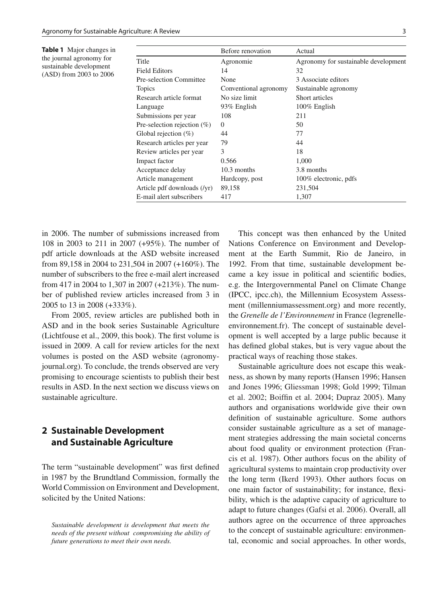<span id="page-2-0"></span>**Table 1** Major changes in the journal agronomy for sustainable development (ASD) from 2003 to 2006

|                                | Before renovation     | Actual                               |
|--------------------------------|-----------------------|--------------------------------------|
| Title                          | Agronomie             | Agronomy for sustainable development |
| <b>Field Editors</b>           | 14                    | 32                                   |
| Pre-selection Committee        | None                  | 3 Associate editors                  |
| <b>Topics</b>                  | Conventional agronomy | Sustainable agronomy                 |
| Research article format        | No size limit         | Short articles                       |
| Language                       | 93% English           | 100% English                         |
| Submissions per year           | 108                   | 211                                  |
| Pre-selection rejection $(\%)$ | $\Omega$              | 50                                   |
| Global rejection $(\%)$        | 44                    | 77                                   |
| Research articles per year     | 79                    | 44                                   |
| Review articles per year       | 3                     | 18                                   |
| Impact factor                  | 0.566                 | 1,000                                |
| Acceptance delay               | 10.3 months           | 3.8 months                           |
| Article management             | Hardcopy, post        | 100% electronic, pdfs                |
| Article pdf downloads (/yr)    | 89,158                | 231,504                              |
| E-mail alert subscribers       | 417                   | 1,307                                |

in 2006. The number of submissions increased from 108 in 2003 to 211 in 2007 (+95%). The number of pdf article downloads at the ASD website increased from 89,158 in 2004 to 231,504 in 2007 (+160%). The number of subscribers to the free e-mail alert increased from 417 in 2004 to 1,307 in 2007 (+213%). The number of published review articles increased from 3 in 2005 to 13 in 2008 (+333%).

From 2005, review articles are published both in ASD and in the book series Sustainable Agriculture (Lichtfouse et al., 2009, this book). The first volume is issued in 2009. A call for review articles for the next volumes is posted on the ASD website (agronomyjournal.org). To conclude, the trends observed are very promising to encourage scientists to publish their best results in ASD. In the next section we discuss views on sustainable agriculture.

## **2 Sustainable Development and Sustainable Agriculture**

The term "sustainable development" was first defined in 1987 by the Brundtland Commission, formally the World Commission on Environment and Development, solicited by the United Nations:

This concept was then enhanced by the United Nations Conference on Environment and Development at the Earth Summit, Rio de Janeiro, in 1992. From that time, sustainable development became a key issue in political and scientific bodies, e.g. the Intergovernmental Panel on Climate Change (IPCC, ipcc.ch), the Millennium Ecosystem Assessment (millenniumassessment.org) and more recently, the *Grenelle de l'Environnement* in France (legrenelleenvironnement.fr). The concept of sustainable development is well accepted by a large public because it has defined global stakes, but is very vague about the practical ways of reaching those stakes.

Sustainable agriculture does not escape this weakness, as s[hown](#page-6-2) [by](#page-6-2) [many](#page-6-2) [reports](#page-6-2) [\(Hansen 1996](#page-5-1)[;](#page-6-2) Hansen and Jones [1996;](#page-6-2) [Gliessman 1998](#page-5-2)[;](#page-6-3) [Gold 1999;](#page-5-3) Tilman et al. [2002](#page-6-3); [Boiffin et al. 2004;](#page-5-4) [Dupraz 2005\)](#page-5-5). Many authors and organisations worldwide give their own definition of sustainable agriculture. Some authors consider sustainable agriculture as a set of management strategies addressing the main societal concerns about fo[od](#page-5-6) [quality](#page-5-6) [or](#page-5-6) [environment](#page-5-6) [protection](#page-5-6) [\(](#page-5-6)Francis et al. [1987](#page-5-6)). Other authors focus on the ability of agricultural systems to maintain crop productivity over the long term [\(Ikerd 1993](#page-6-4)). Other authors focus on one main factor of sustainability; for instance, flexibility, which is the adaptive capacity of agriculture to adapt to future changes [\(Gafsi et al. 2006](#page-5-7)). Overall, all authors agree on the occurrence of three approaches to the concept of sustainable agriculture: environmental, economic and social approaches. In other words,

*Sustainable development is development that meets the needs of the present without compromising the ability of future generations to meet their own needs.*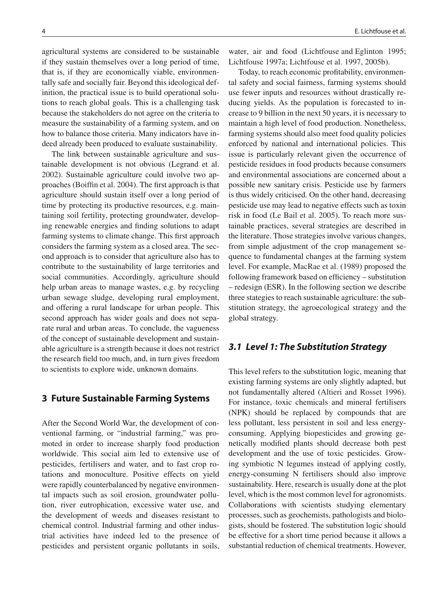agricultural systems are considered to be sustainable if they sustain themselves over a long period of time, that is, if they are economically viable, environmentally safe and socially fair. Beyond this ideological definition, the practical issue is to build operational solutions to reach global goals. This is a challenging task because the stakeholders do not agree on the criteria to measure the sustainability of a farming system, and on how to balance those criteria. Many indicators have indeed already been produced to evaluate sustainability.

The link between sustainable agriculture and sustainable development is not obvious (Legrand et al. [2002](#page-6-5)). Sustainable agriculture could involve two approaches [\(Boiffin et al. 2004\)](#page-5-4). The first approach is that agriculture should sustain itself over a long period of time by protecting its productive resources, e.g. maintaining soil fertility, protecting groundwater, developing renewable energies and finding solutions to adapt farming systems to climate change. This first approach considers the farming system as a closed area. The second approach is to consider that agriculture also has to contribute to the sustainability of large territories and social communities. Accordingly, agriculture should help urban areas to manage wastes, e.g. by recycling urban sewage sludge, developing rural employment, and offering a rural landscape for urban people. This second approach has wider goals and does not separate rural and urban areas. To conclude, the vagueness of the concept of sustainable development and sustainable agriculture is a strength because it does not restrict the research field too much, and, in turn gives freedom to scientists to explore wide, unknown domains.

#### **3 Future Sustainable Farming Systems**

After the Second World War, the development of conventional farming, or "industrial farming," was promoted in order to increase sharply food production worldwide. This social aim led to extensive use of pesticides, fertilisers and water, and to fast crop rotations and monoculture. Positive effects on yield were rapidly counterbalanced by negative environmental impacts such as soil erosion, groundwater pollution, river eutrophication, excessive water use, and the development of weeds and diseases resistant to chemical control. Industrial farming and other industrial activities have indeed led to the presence of pesticides and persistent organic pollutants in soils,

water, air and food [\(Lichtfouse and Eglinton 1995](#page-6-6); [Lichtfouse 1997a;](#page-6-7) [Lichtfouse et al. 1997,](#page-6-8) [2005b\)](#page-6-9).

Today, to reach economic profitability, environmental safety and social fairness, farming systems should use fewer inputs and resources without drastically reducing yields. As the population is forecasted to increase to 9 billion in the next 50 years, it is necessary to maintain a high level of food production. Nonetheless, farming systems should also meet food quality policies enforced by national and international policies. This issue is particularly relevant given the occurrence of pesticide residues in food products because consumers and environmental associations are concerned about a possible new sanitary crisis. Pesticide use by farmers is thus widely criticised. On the other hand, decreasing pesticide use may lead to negative effects such as toxin risk in food [\(Le Bail et al. 2005](#page-6-10)). To reach more sustainable practices, several strategies are described in the literature. Those strategies involve various changes, from simple adjustment of the crop management sequence to fundamental changes at the farming system level. For example, [MacRae et al.](#page-6-11) [\(1989](#page-6-11)) proposed the following framework based on efficiency – substitution – redesign (ESR). In the following section we describe three stategies to reach sustainable agriculture: the substitution strategy, the agroecological strategy and the global strategy.

#### *3.1 Level 1: The Substitution Strategy*

This level refers to the substitution logic, meaning that existing farming systems are only slightly adapted, but not fundamentally altered [\(Altieri and Rosset 1996](#page-5-8)). For instance, toxic chemicals and mineral fertilisers (NPK) should be replaced by compounds that are less pollutant, less persistent in soil and less energyconsuming. Applying biopesticides and growing genetically modified plants should decrease both pest development and the use of toxic pesticides. Growing symbiotic N legumes instead of applying costly, energy-consuming N fertilisers should also improve sustainability. Here, research is usually done at the plot level, which is the most common level for agronomists. Collaborations with scientists studying elementary processes, such as geochemists, pathologists and biologists, should be fostered. The substitution logic should be effective for a short time period because it allows a substantial reduction of chemical treatments. However,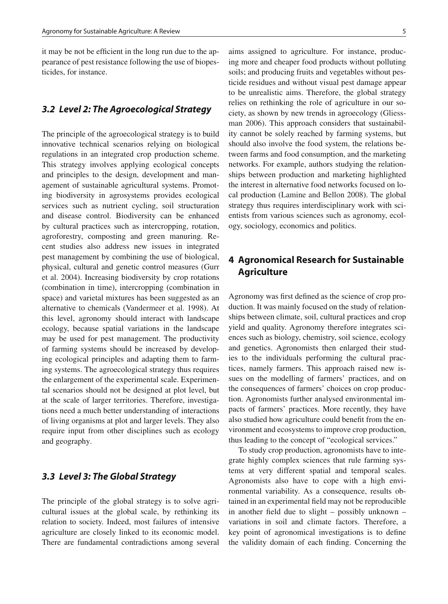it may be not be efficient in the long run due to the appearance of pest resistance following the use of biopesticides, for instance.

### *3.2 Level 2: The Agroecological Strategy*

The principle of the agroecological strategy is to build innovative technical scenarios relying on biological regulations in an integrated crop production scheme. This strategy involves applying ecological concepts and principles to the design, development and management of sustainable agricultural systems. Promoting biodiversity in agrosystems provides ecological services such as nutrient cycling, soil structuration and disease control. Biodiversity can be enhanced by cultural practices such as intercropping, rotation, agroforestry, composting and green manuring. Recent studies also address new issues in integrated pest management by combining the use of biological, phys[ical,](#page-5-9) [cultural](#page-5-9) [and](#page-5-9) [genetic](#page-5-9) [control](#page-5-9) [measures](#page-5-9) [\(](#page-5-9)Gurr et al. [2004](#page-5-9)). Increasing biodiversity by crop rotations (combination in time), intercropping (combination in space) and varietal mixtures has been suggested as an alternative to chemicals [\(Vandermeer et al. 1998\)](#page-6-12). At this level, agronomy should interact with landscape ecology, because spatial variations in the landscape may be used for pest management. The productivity of farming systems should be increased by developing ecological principles and adapting them to farming systems. The agroecological strategy thus requires the enlargement of the experimental scale. Experimental scenarios should not be designed at plot level, but at the scale of larger territories. Therefore, investigations need a much better understanding of interactions of living organisms at plot and larger levels. They also require input from other disciplines such as ecology and geography.

### *3.3 Level 3: The Global Strategy*

The principle of the global strategy is to solve agricultural issues at the global scale, by rethinking its relation to society. Indeed, most failures of intensive agriculture are closely linked to its economic model. There are fundamental contradictions among several aims assigned to agriculture. For instance, producing more and cheaper food products without polluting soils; and producing fruits and vegetables without pesticide residues and without visual pest damage appear to be unrealistic aims. Therefore, the global strategy relies on rethinking the role of agriculture in our societ[y,](#page-5-10) [as](#page-5-10) [shown](#page-5-10) [by](#page-5-10) [new](#page-5-10) [trends](#page-5-10) [in](#page-5-10) [agroecology](#page-5-10) [\(](#page-5-10)Gliessman [2006\)](#page-5-10). This approach considers that sustainability cannot be solely reached by farming systems, but should also involve the food system, the relations between farms and food consumption, and the marketing networks. For example, authors studying the relationships between production and marketing highlighted the interest in alternative food networks focused on local production [\(Lamine and Bellon 2008\)](#page-6-13). The global strategy thus requires interdisciplinary work with scientists from various sciences such as agronomy, ecology, sociology, economics and politics.

# **4 Agronomical Research for Sustainable Agriculture**

Agronomy was first defined as the science of crop production. It was mainly focused on the study of relationships between climate, soil, cultural practices and crop yield and quality. Agronomy therefore integrates sciences such as biology, chemistry, soil science, ecology and genetics. Agronomists then enlarged their studies to the individuals performing the cultural practices, namely farmers. This approach raised new issues on the modelling of farmers' practices, and on the consequences of farmers' choices on crop production. Agronomists further analysed environmental impacts of farmers' practices. More recently, they have also studied how agriculture could benefit from the environment and ecosystems to improve crop production, thus leading to the concept of "ecological services."

To study crop production, agronomists have to integrate highly complex sciences that rule farming systems at very different spatial and temporal scales. Agronomists also have to cope with a high environmental variability. As a consequence, results obtained in an experimental field may not be reproducible in another field due to slight – possibly unknown – variations in soil and climate factors. Therefore, a key point of agronomical investigations is to define the validity domain of each finding. Concerning the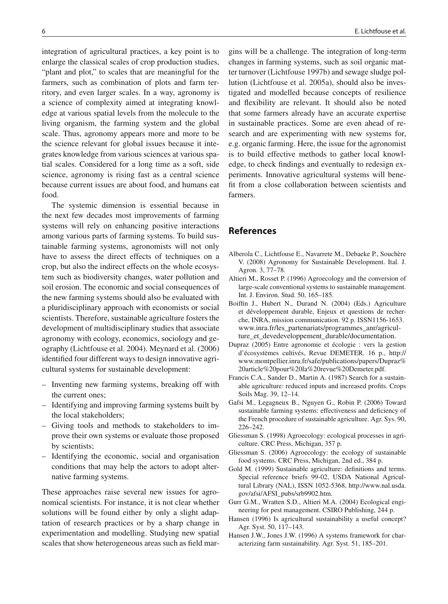integration of agricultural practices, a key point is to enlarge the classical scales of crop production studies, "plant and plot," to scales that are meaningful for the farmers, such as combination of plots and farm territory, and even larger scales. In a way, agronomy is a science of complexity aimed at integrating knowledge at various spatial levels from the molecule to the living organism, the farming system and the global scale. Thus, agronomy appears more and more to be the science relevant for global issues because it integrates knowledge from various sciences at various spatial scales. Considered for a long time as a soft, side science, agronomy is rising fast as a central science because current issues are about food, and humans eat food.

The systemic dimension is essential because in the next few decades most improvements of farming systems will rely on enhancing positive interactions among various parts of farming systems. To build sustainable farming systems, agronomists will not only have to assess the direct effects of techniques on a crop, but also the indirect effects on the whole ecosystem such as biodiversity changes, water pollution and soil erosion. The economic and social consequences of the new farming systems should also be evaluated with a pluridisciplinary approach with economists or social scientists. Therefore, sustainable agriculture fosters the development of multidisciplinary studies that associate agronomy with ecology, economics, sociology and geography [\(Lichtfouse et al. 2004\)](#page-6-1). [Meynard et al.](#page-6-14) [\(2006\)](#page-6-14) identified four different ways to design innovative agricultural systems for sustainable development:

- Inventing new farming systems, breaking off with the current ones;
- Identifying and improving farming systems built by the local stakeholders;
- Giving tools and methods to stakeholders to improve their own systems or evaluate those proposed by scientists;
- Identifying the economic, social and organisation conditions that may help the actors to adopt alternative farming systems.

These approaches raise several new issues for agronomical scientists. For instance, it is not clear whether solutions will be found either by only a slight adaptation of research practices or by a sharp change in experimentation and modelling. Studying new spatial scales that show heterogeneous areas such as field margins will be a challenge. The integration of long-term changes in farming systems, such as soil organic matter turnover [\(Lichtfouse 1997b\)](#page-6-15) and sewage sludge pollution [\(Lichtfouse et al. 2005a](#page-6-16)), should also be investigated and modelled because concepts of resilience and flexibility are relevant. It should also be noted that some farmers already have an accurate expertise in sustainable practices. Some are even ahead of research and are experimenting with new systems for, e.g. organic farming. Here, the issue for the agronomist is to build effective methods to gather local knowledge, to check findings and eventually to redesign experiments. Innovative agricultural systems will benefit from a close collaboration between scientists and farmers.

### **References**

- <span id="page-5-0"></span>Alberola C., Lichtfouse E., Navarrete M., Debaeke P., Souchère V. (2008) Agronomy for Sustainable Development. Ital. J. Agron. 3, 77–78.
- <span id="page-5-8"></span>Altieri M., Rosset P. (1996) Agroecology and the conversion of large-scale conventional systems to sustainable management. Int. J. Environ. Stud. 50, 165–185.
- <span id="page-5-4"></span>Boiffin J., Hubert N., Durand N. (2004) (Eds.) Agriculture et développement durable, Enjeux et questions de recherche, INRA, mission communication. 92 p. ISSN1156-1653. www.inra.fr/les\_partenariats/programmes\_anr/agriculture\_et\_devedeveloppement\_durable/documentation.
- <span id="page-5-5"></span>Dupraz (2005) Entre agronomie et écologie : vers la gestion d'écosystèmes cultivés, Revue DEMETER. 16 p., http:// www.montpellier.inra.fr/safe/publications/papers/Dupraz% 20article%20pour%20la%20revue%20Demeter.pdf.
- <span id="page-5-6"></span>Francis C.A., Sander D., Martin A. (1987) Search for a sustainable agriculture: reduced inputs and increased profits. Crops Soils Mag. 39, 12–14.
- <span id="page-5-7"></span>Gafsi M., Legagneux B., Nguyen G., Robin P. (2006) Toward sustainable farming systems: effectiveness and deficiency of the French procedure of sustainable agriculture. Agr. Sys. 90, 226–242.
- <span id="page-5-2"></span>Gliessman S. (1998) Agroecology: ecological processes in agriculture. CRC Press, Michigan, 357 p.
- <span id="page-5-10"></span>Gliessman S. (2006) Agroecology: the ecology of sustainable food systems. CRC Press, Michigan, 2nd ed., 384 p.
- <span id="page-5-3"></span>Gold M. (1999) Sustainable agriculture: definitions and terms. Special reference briefs 99-02, USDA National Agricultural Library (NAL), ISSN 1052-5368, http://www.nal.usda. gov/afsi/AFSI\_pubs/srb9902.htm.
- <span id="page-5-9"></span>Gurr G.M., Wratten S.D., Altieri M.A. (2004) Ecological engineering for pest management. CSIRO Publishing, 244 p.
- <span id="page-5-1"></span>Hansen (1996) Is agricultural sustainability a useful concept? Agr. Syst. 50, 117–143.
- Hansen J.W., Jones J.W. (1996) A systems framework for characterizing farm sustainability. Agr. Syst. 51, 185–201.